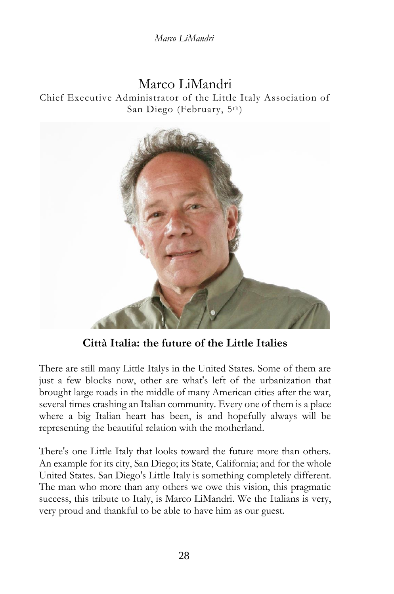Marco LiMandri Chief Executive Administrator of the Little Italy Association of San Diego (February, 5th)



**Città Italia: the future of the Little Italies**

There are still many Little Italys in the United States. Some of them are just a few blocks now, other are what's left of the urbanization that brought large roads in the middle of many American cities after the war, several times crashing an Italian community. Every one of them is a place where a big Italian heart has been, is and hopefully always will be representing the beautiful relation with the motherland.

There's one Little Italy that looks toward the future more than others. An example for its city, San Diego; its State, California; and for the whole United States. San Diego's Little Italy is something completely different. The man who more than any others we owe this vision, this pragmatic success, this tribute to Italy, is Marco LiMandri. We the Italians is very, very proud and thankful to be able to have him as our guest.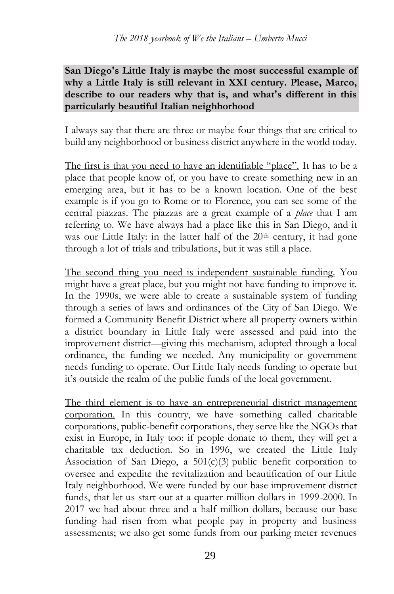## **San Diego's Little Italy is maybe the most successful example of why a Little Italy is still relevant in XXI century. Please, Marco, describe to our readers why that is, and what's different in this particularly beautiful Italian neighborhood**

I always say that there are three or maybe four things that are critical to build any neighborhood or business district anywhere in the world today.

The first is that you need to have an identifiable "place". It has to be a place that people know of, or you have to create something new in an emerging area, but it has to be a known location. One of the best example is if you go to Rome or to Florence, you can see some of the central piazzas. The piazzas are a great example of a *place* that I am referring to. We have always had a place like this in San Diego, and it was our Little Italy: in the latter half of the 20<sup>th</sup> century, it had gone through a lot of trials and tribulations, but it was still a place.

The second thing you need is independent sustainable funding. You might have a great place, but you might not have funding to improve it. In the 1990s, we were able to create a sustainable system of funding through a series of laws and ordinances of the City of San Diego. We formed a Community Benefit District where all property owners within a district boundary in Little Italy were assessed and paid into the improvement district—giving this mechanism, adopted through a local ordinance, the funding we needed. Any municipality or government needs funding to operate. Our Little Italy needs funding to operate but it's outside the realm of the public funds of the local government.

The third element is to have an entrepreneurial district management corporation. In this country, we have something called charitable corporations, public-benefit corporations, they serve like the NGOs that exist in Europe, in Italy too: if people donate to them, they will get a charitable tax deduction. So in 1996, we created the Little Italy Association of San Diego, a  $501(c)(3)$  public benefit corporation to oversee and expedite the revitalization and beautification of our Little Italy neighborhood. We were funded by our base improvement district funds, that let us start out at a quarter million dollars in 1999-2000. In 2017 we had about three and a half million dollars, because our base funding had risen from what people pay in property and business assessments; we also get some funds from our parking meter revenues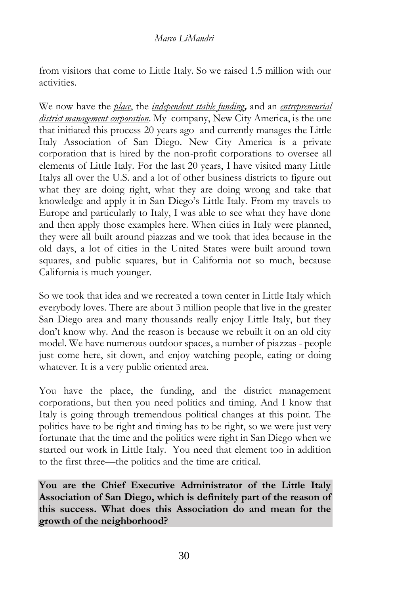from visitors that come to Little Italy. So we raised 1.5 million with our activities.

We now have the *place*, the *independent stable funding***,** and an *entrepreneurial district management corporation*. My company, New City America, is the one that initiated this process 20 years ago and currently manages the Little Italy Association of San Diego. New City America is a private corporation that is hired by the non-profit corporations to oversee all elements of Little Italy. For the last 20 years, I have visited many Little Italys all over the U.S. and a lot of other business districts to figure out what they are doing right, what they are doing wrong and take that knowledge and apply it in San Diego's Little Italy. From my travels to Europe and particularly to Italy, I was able to see what they have done and then apply those examples here. When cities in Italy were planned, they were all built around piazzas and we took that idea because in the old days, a lot of cities in the United States were built around town squares, and public squares, but in California not so much, because California is much younger.

So we took that idea and we recreated a town center in Little Italy which everybody loves. There are about 3 million people that live in the greater San Diego area and many thousands really enjoy Little Italy, but they don't know why. And the reason is because we rebuilt it on an old city model. We have numerous outdoor spaces, a number of piazzas - people just come here, sit down, and enjoy watching people, eating or doing whatever. It is a very public oriented area.

You have the place, the funding, and the district management corporations, but then you need politics and timing. And I know that Italy is going through tremendous political changes at this point. The politics have to be right and timing has to be right, so we were just very fortunate that the time and the politics were right in San Diego when we started our work in Little Italy. You need that element too in addition to the first three—the politics and the time are critical.

**You are the Chief Executive Administrator of the Little Italy Association of San Diego, which is definitely part of the reason of this success. What does this Association do and mean for the growth of the neighborhood?**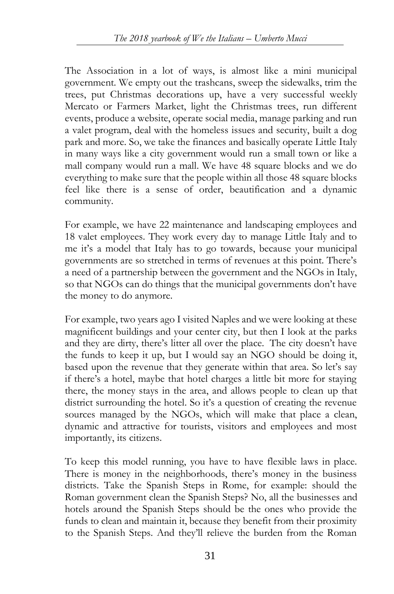The Association in a lot of ways, is almost like a mini municipal government. We empty out the trashcans, sweep the sidewalks, trim the trees, put Christmas decorations up, have a very successful weekly Mercato or Farmers Market, light the Christmas trees, run different events, produce a website, operate social media, manage parking and run a valet program, deal with the homeless issues and security, built a dog park and more. So, we take the finances and basically operate Little Italy in many ways like a city government would run a small town or like a mall company would run a mall. We have 48 square blocks and we do everything to make sure that the people within all those 48 square blocks feel like there is a sense of order, beautification and a dynamic community.

For example, we have 22 maintenance and landscaping employees and 18 valet employees. They work every day to manage Little Italy and to me it's a model that Italy has to go towards, because your municipal governments are so stretched in terms of revenues at this point. There's a need of a partnership between the government and the NGOs in Italy, so that NGOs can do things that the municipal governments don't have the money to do anymore.

For example, two years ago I visited Naples and we were looking at these magnificent buildings and your center city, but then I look at the parks and they are dirty, there's litter all over the place. The city doesn't have the funds to keep it up, but I would say an NGO should be doing it, based upon the revenue that they generate within that area. So let's say if there's a hotel, maybe that hotel charges a little bit more for staying there, the money stays in the area, and allows people to clean up that district surrounding the hotel. So it's a question of creating the revenue sources managed by the NGOs, which will make that place a clean, dynamic and attractive for tourists, visitors and employees and most importantly, its citizens.

To keep this model running, you have to have flexible laws in place. There is money in the neighborhoods, there's money in the business districts. Take the Spanish Steps in Rome, for example: should the Roman government clean the Spanish Steps? No, all the businesses and hotels around the Spanish Steps should be the ones who provide the funds to clean and maintain it, because they benefit from their proximity to the Spanish Steps. And they'll relieve the burden from the Roman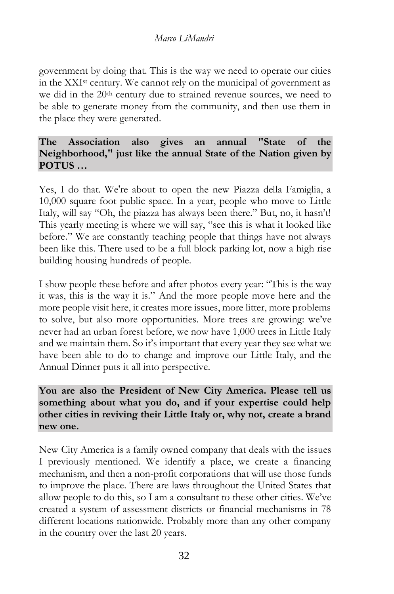government by doing that. This is the way we need to operate our cities in the XXIst century. We cannot rely on the municipal of government as we did in the 20<sup>th</sup> century due to strained revenue sources, we need to be able to generate money from the community, and then use them in the place they were generated.

## **The Association also gives an annual "State of the Neighborhood," just like the annual State of the Nation given by POTUS …**

Yes, I do that. We're about to open the new Piazza della Famiglia, a 10,000 square foot public space. In a year, people who move to Little Italy, will say "Oh, the piazza has always been there." But, no, it hasn't! This yearly meeting is where we will say, "see this is what it looked like before." We are constantly teaching people that things have not always been like this. There used to be a full block parking lot, now a high rise building housing hundreds of people.

I show people these before and after photos every year: "This is the way it was, this is the way it is." And the more people move here and the more people visit here, it creates more issues, more litter, more problems to solve, but also more opportunities. More trees are growing: we've never had an urban forest before, we now have 1,000 trees in Little Italy and we maintain them. So it's important that every year they see what we have been able to do to change and improve our Little Italy, and the Annual Dinner puts it all into perspective.

# **You are also the President of New City America. Please tell us something about what you do, and if your expertise could help other cities in reviving their Little Italy or, why not, create a brand new one.**

New City America is a family owned company that deals with the issues I previously mentioned. We identify a place, we create a financing mechanism, and then a non-profit corporations that will use those funds to improve the place. There are laws throughout the United States that allow people to do this, so I am a consultant to these other cities. We've created a system of assessment districts or financial mechanisms in 78 different locations nationwide. Probably more than any other company in the country over the last 20 years.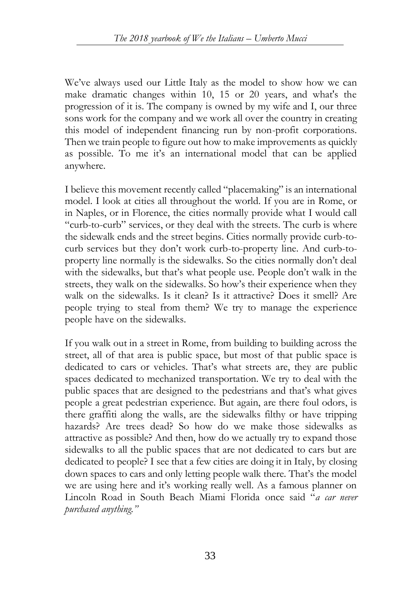We've always used our Little Italy as the model to show how we can make dramatic changes within 10, 15 or 20 years, and what's the progression of it is. The company is owned by my wife and I, our three sons work for the company and we work all over the country in creating this model of independent financing run by non-profit corporations. Then we train people to figure out how to make improvements as quickly as possible. To me it's an international model that can be applied anywhere.

I believe this movement recently called "placemaking" is an international model. I look at cities all throughout the world. If you are in Rome, or in Naples, or in Florence, the cities normally provide what I would call "curb-to-curb" services, or they deal with the streets. The curb is where the sidewalk ends and the street begins. Cities normally provide curb-tocurb services but they don't work curb-to-property line. And curb-toproperty line normally is the sidewalks. So the cities normally don't deal with the sidewalks, but that's what people use. People don't walk in the streets, they walk on the sidewalks. So how's their experience when they walk on the sidewalks. Is it clean? Is it attractive? Does it smell? Are people trying to steal from them? We try to manage the experience people have on the sidewalks.

If you walk out in a street in Rome, from building to building across the street, all of that area is public space, but most of that public space is dedicated to cars or vehicles. That's what streets are, they are public spaces dedicated to mechanized transportation. We try to deal with the public spaces that are designed to the pedestrians and that's what gives people a great pedestrian experience. But again, are there foul odors, is there graffiti along the walls, are the sidewalks filthy or have tripping hazards? Are trees dead? So how do we make those sidewalks as attractive as possible? And then, how do we actually try to expand those sidewalks to all the public spaces that are not dedicated to cars but are dedicated to people? I see that a few cities are doing it in Italy, by closing down spaces to cars and only letting people walk there. That's the model we are using here and it's working really well. As a famous planner on Lincoln Road in South Beach Miami Florida once said "*a car never purchased anything."*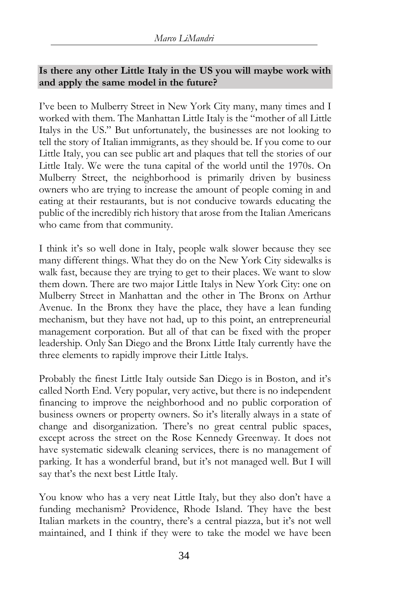# **Is there any other Little Italy in the US you will maybe work with and apply the same model in the future?**

I've been to Mulberry Street in New York City many, many times and I worked with them. The Manhattan Little Italy is the "mother of all Little Italys in the US." But unfortunately, the businesses are not looking to tell the story of Italian immigrants, as they should be. If you come to our Little Italy, you can see public art and plaques that tell the stories of our Little Italy. We were the tuna capital of the world until the 1970s. On Mulberry Street, the neighborhood is primarily driven by business owners who are trying to increase the amount of people coming in and eating at their restaurants, but is not conducive towards educating the public of the incredibly rich history that arose from the Italian Americans who came from that community.

I think it's so well done in Italy, people walk slower because they see many different things. What they do on the New York City sidewalks is walk fast, because they are trying to get to their places. We want to slow them down. There are two major Little Italys in New York City: one on Mulberry Street in Manhattan and the other in The Bronx on Arthur Avenue. In the Bronx they have the place, they have a lean funding mechanism, but they have not had, up to this point, an entrepreneurial management corporation. But all of that can be fixed with the proper leadership. Only San Diego and the Bronx Little Italy currently have the three elements to rapidly improve their Little Italys.

Probably the finest Little Italy outside San Diego is in Boston, and it's called North End. Very popular, very active, but there is no independent financing to improve the neighborhood and no public corporation of business owners or property owners. So it's literally always in a state of change and disorganization. There's no great central public spaces, except across the street on the Rose Kennedy Greenway. It does not have systematic sidewalk cleaning services, there is no management of parking. It has a wonderful brand, but it's not managed well. But I will say that's the next best Little Italy.

You know who has a very neat Little Italy, but they also don't have a funding mechanism? Providence, Rhode Island. They have the best Italian markets in the country, there's a central piazza, but it's not well maintained, and I think if they were to take the model we have been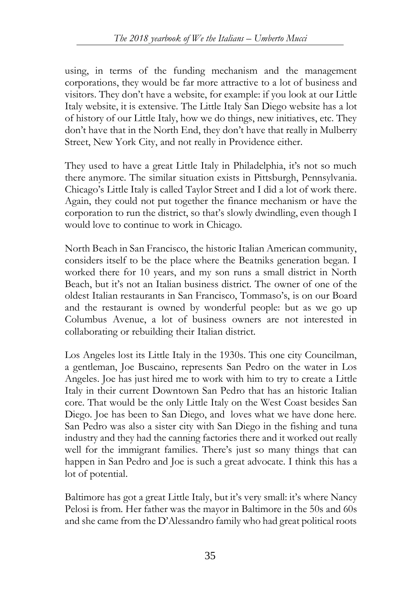using, in terms of the funding mechanism and the management corporations, they would be far more attractive to a lot of business and visitors. They don't have a website, for example: if you look at [our Little](https://www.littleitalysd.com/)  [Italy website,](https://www.littleitalysd.com/) it is extensive. The Little Italy San Diego website has a lot of history of our Little Italy, how we do things, new initiatives, etc. They don't have that in the North End, they don't have that really in Mulberry Street, New York City, and not really in Providence either.

They used to have a great Little Italy in Philadelphia, it's not so much there anymore. The similar situation exists in Pittsburgh, Pennsylvania. Chicago's Little Italy is called Taylor Street and I did a lot of work there. Again, they could not put together the finance mechanism or have the corporation to run the district, so that's slowly dwindling, even though I would love to continue to work in Chicago.

North Beach in San Francisco, the historic Italian American community, considers itself to be the place where the Beatniks generation began. I worked there for 10 years, and my son runs a small district in North Beach, but it's not an Italian business district. The owner of one of the oldest Italian restaurants in San Francisco, Tommaso's, is on our Board and the restaurant is owned by wonderful people: but as we go up Columbus Avenue, a lot of business owners are not interested in collaborating or rebuilding their Italian district.

Los Angeles lost its Little Italy in the 1930s. This one city Councilman, a gentleman, Joe Buscaino, represents San Pedro on the water in Los Angeles. Joe has just hired me to work with him to try to create a Little Italy in their current Downtown San Pedro that has an historic Italian core. That would be the only Little Italy on the West Coast besides San Diego. Joe has been to San Diego, and loves what we have done here. San Pedro was also a sister city with San Diego in the fishing and tuna industry and they had the canning factories there and it worked out really well for the immigrant families. There's just so many things that can happen in San Pedro and Joe is such a great advocate. I think this has a lot of potential.

Baltimore has got a great Little Italy, but it's very small: it's where Nancy Pelosi is from. Her father was the mayor in Baltimore in the 50s and 60s and she came from the D'Alessandro family who had great political roots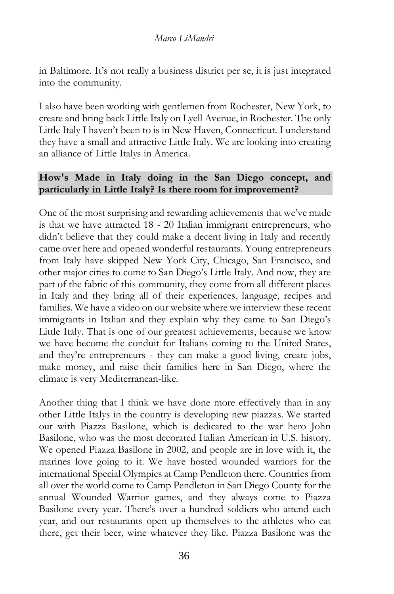in Baltimore. It's not really a business district per se, it is just integrated into the community.

I also have been working with gentlemen from Rochester, New York, to create and bring back Little Italy on Lyell Avenue, in Rochester. The only Little Italy I haven't been to is in New Haven, Connecticut. I understand they have a small and attractive Little Italy. We are looking into creating an alliance of Little Italys in America.

# **How's Made in Italy doing in the San Diego concept, and particularly in Little Italy? Is there room for improvement?**

One of the most surprising and rewarding achievements that we've made is that we have attracted 18 - 20 Italian immigrant entrepreneurs, who didn't believe that they could make a decent living in Italy and recently came over here and opened wonderful restaurants. Young entrepreneurs from Italy have skipped New York City, Chicago, San Francisco, and other major cities to come to San Diego's Little Italy. And now, they are part of the fabric of this community, they come from all different places in Italy and they bring all of their experiences, language, recipes and families. We have a video on our website where we interview these recent immigrants in Italian and they explain why they came to San Diego's Little Italy. That is one of our greatest achievements, because we know we have become the conduit for Italians coming to the United States, and they're entrepreneurs - they can make a good living, create jobs, make money, and raise their families here in San Diego, where the climate is very Mediterranean-like.

Another thing that I think we have done more effectively than in any other Little Italys in the country is developing new piazzas. We started out with Piazza Basilone, which is dedicated to the war hero John Basilone, who was the most decorated Italian American in U.S. history. We opened Piazza Basilone in 2002, and people are in love with it, the marines love going to it. We have hosted wounded warriors for the international Special Olympics at Camp Pendleton there. Countries from all over the world come to Camp Pendleton in San Diego County for the annual Wounded Warrior games, and they always come to Piazza Basilone every year. There's over a hundred soldiers who attend each year, and our restaurants open up themselves to the athletes who eat there, get their beer, wine whatever they like. Piazza Basilone was the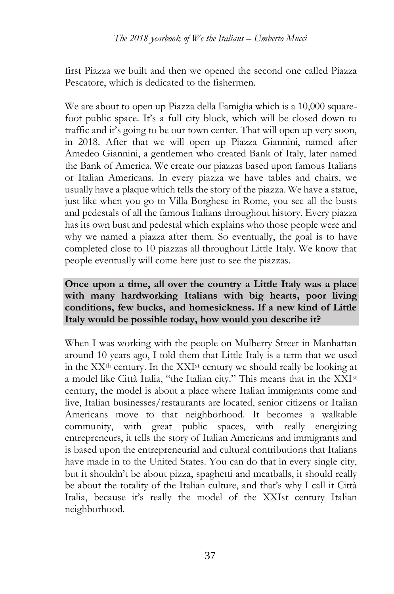first Piazza we built and then we opened the second one called Piazza Pescatore, which is dedicated to the fishermen.

We are about to open up Piazza della Famiglia which is a 10,000 squarefoot public space. It's a full city block, which will be closed down to traffic and it's going to be our town center. That will open up very soon, in 2018. After that we will open up Piazza Giannini, named after Amedeo Giannini, a gentlemen who created Bank of Italy, later named the Bank of America. We create our piazzas based upon famous Italians or Italian Americans. In every piazza we have tables and chairs, we usually have a plaque which tells the story of the piazza. We have a statue, just like when you go to Villa Borghese in Rome, you see all the busts and pedestals of all the famous Italians throughout history. Every piazza has its own bust and pedestal which explains who those people were and why we named a piazza after them. So eventually, the goal is to have completed close to 10 piazzas all throughout Little Italy. We know that people eventually will come here just to see the piazzas.

#### **Once upon a time, all over the country a Little Italy was a place with many hardworking Italians with big hearts, poor living conditions, few bucks, and homesickness. If a new kind of Little Italy would be possible today, how would you describe it?**

When I was working with the people on Mulberry Street in Manhattan around 10 years ago, I told them that Little Italy is a term that we used in the XXth century. In the XXIst century we should really be looking at a model like Città Italia, "the Italian city." This means that in the XXIst century, the model is about a place where Italian immigrants come and live, Italian businesses/restaurants are located, senior citizens or Italian Americans move to that neighborhood. It becomes a walkable community, with great public spaces, with really energizing entrepreneurs, it tells the story of Italian Americans and immigrants and is based upon the entrepreneurial and cultural contributions that Italians have made in to the United States. You can do that in every single city, but it shouldn't be about pizza, spaghetti and meatballs, it should really be about the totality of the Italian culture, and that's why I call it Città Italia, because it's really the model of the XXIst century Italian neighborhood.